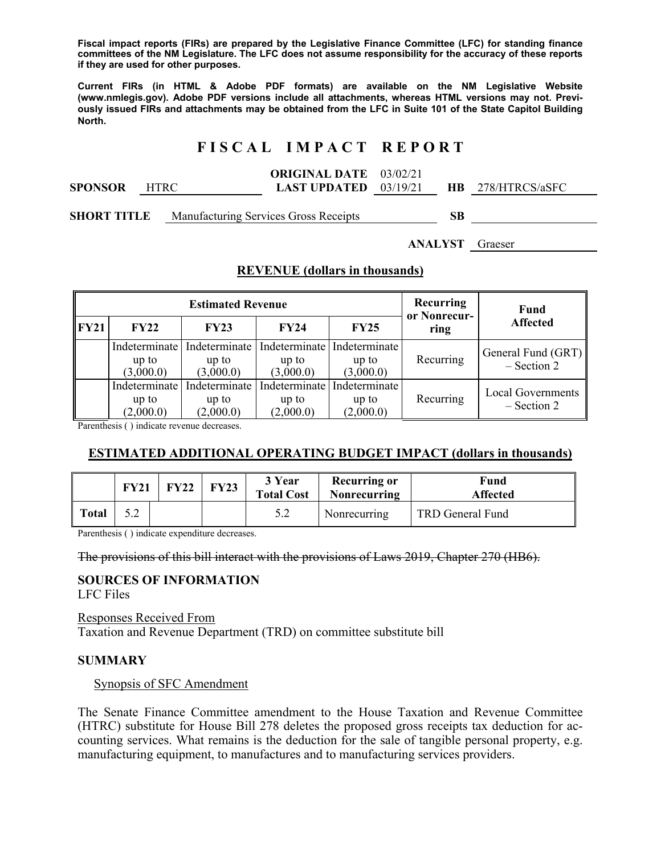**Fiscal impact reports (FIRs) are prepared by the Legislative Finance Committee (LFC) for standing finance committees of the NM Legislature. The LFC does not assume responsibility for the accuracy of these reports if they are used for other purposes.** 

**Current FIRs (in HTML & Adobe PDF formats) are available on the NM Legislative Website (www.nmlegis.gov). Adobe PDF versions include all attachments, whereas HTML versions may not. Previously issued FIRs and attachments may be obtained from the LFC in Suite 101 of the State Capitol Building North.**

# **F I S C A L I M P A C T R E P O R T**

|                |       | <b>ORIGINAL DATE</b> 03/02/21  |  |                          |
|----------------|-------|--------------------------------|--|--------------------------|
| <b>SPONSOR</b> | HTRC. | <b>LAST UPDATED</b> $03/19/21$ |  | <b>HB</b> 278/HTRCS/aSFC |
|                |       |                                |  |                          |

**SHORT TITLE** Manufacturing Services Gross Receipts **SB** 

**ANALYST** Graeser

## **REVENUE (dollars in thousands)**

|             |                                     | <b>Estimated Revenue</b>            | Recurring<br>or Nonrecur-           | Fund                                |           |                                           |
|-------------|-------------------------------------|-------------------------------------|-------------------------------------|-------------------------------------|-----------|-------------------------------------------|
| <b>FY21</b> | <b>FY22</b>                         | FY23                                | <b>FY24</b>                         | FY25                                | ring      | Affected                                  |
|             | Indeterminate<br>up to<br>(3,000.0) | Indeterminate<br>up to<br>(3,000.0) | Indeterminate<br>up to<br>(3,000.0) | Indeterminate<br>up to<br>(3,000.0) | Recurring | General Fund (GRT)<br>$-$ Section 2       |
|             | Indeterminate<br>up to<br>(2,000.0) | Indeterminate<br>up to<br>(2,000.0) | Indeterminate<br>up to<br>(2,000.0) | Indeterminate<br>up to<br>(2,000.0) | Recurring | <b>Local Governments</b><br>$-$ Section 2 |

Parenthesis ( ) indicate revenue decreases.

## **ESTIMATED ADDITIONAL OPERATING BUDGET IMPACT (dollars in thousands)**

|              | <b>FY21</b> | FY22 | FY23 | 3 Year<br><b>Total Cost</b> | <b>Recurring or</b><br>Nonrecurring | Fund<br><b>Affected</b> |
|--------------|-------------|------|------|-----------------------------|-------------------------------------|-------------------------|
| <b>Total</b> | ے .         |      |      | 5.2                         | Nonrecurring                        | TRD General Fund        |

Parenthesis ( ) indicate expenditure decreases.

The provisions of this bill interact with the provisions of Laws 2019, Chapter 270 (HB6).

# **SOURCES OF INFORMATION**

LFC Files

Responses Received From Taxation and Revenue Department (TRD) on committee substitute bill

### **SUMMARY**

Synopsis of SFC Amendment

The Senate Finance Committee amendment to the House Taxation and Revenue Committee (HTRC) substitute for House Bill 278 deletes the proposed gross receipts tax deduction for accounting services. What remains is the deduction for the sale of tangible personal property, e.g. manufacturing equipment, to manufactures and to manufacturing services providers.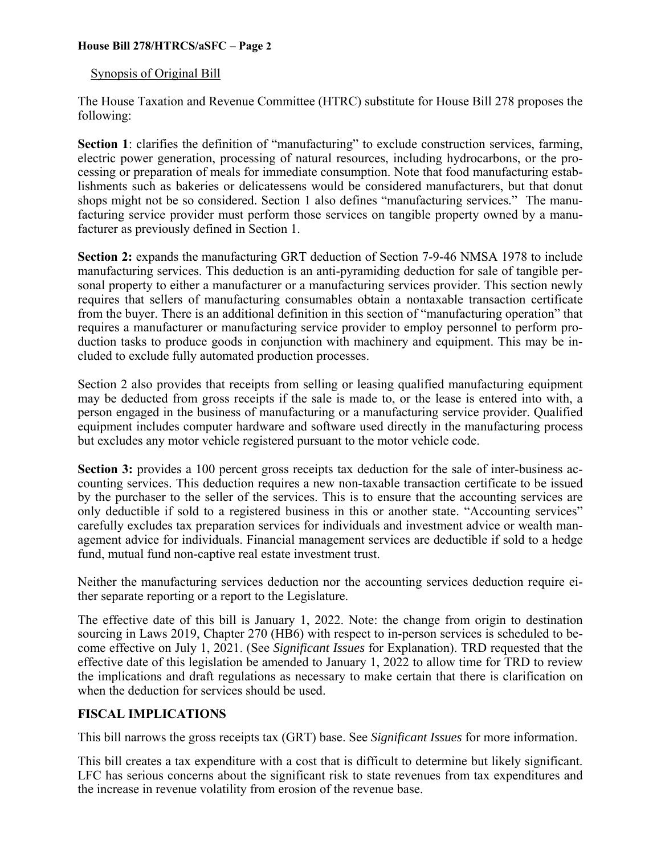### Synopsis of Original Bill

The House Taxation and Revenue Committee (HTRC) substitute for House Bill 278 proposes the following:

Section 1: clarifies the definition of "manufacturing" to exclude construction services, farming, electric power generation, processing of natural resources, including hydrocarbons, or the processing or preparation of meals for immediate consumption. Note that food manufacturing establishments such as bakeries or delicatessens would be considered manufacturers, but that donut shops might not be so considered. Section 1 also defines "manufacturing services." The manufacturing service provider must perform those services on tangible property owned by a manufacturer as previously defined in Section 1.

**Section 2:** expands the manufacturing GRT deduction of Section 7-9-46 NMSA 1978 to include manufacturing services. This deduction is an anti-pyramiding deduction for sale of tangible personal property to either a manufacturer or a manufacturing services provider. This section newly requires that sellers of manufacturing consumables obtain a nontaxable transaction certificate from the buyer. There is an additional definition in this section of "manufacturing operation" that requires a manufacturer or manufacturing service provider to employ personnel to perform production tasks to produce goods in conjunction with machinery and equipment. This may be included to exclude fully automated production processes.

Section 2 also provides that receipts from selling or leasing qualified manufacturing equipment may be deducted from gross receipts if the sale is made to, or the lease is entered into with, a person engaged in the business of manufacturing or a manufacturing service provider. Qualified equipment includes computer hardware and software used directly in the manufacturing process but excludes any motor vehicle registered pursuant to the motor vehicle code.

**Section 3:** provides a 100 percent gross receipts tax deduction for the sale of inter-business accounting services. This deduction requires a new non-taxable transaction certificate to be issued by the purchaser to the seller of the services. This is to ensure that the accounting services are only deductible if sold to a registered business in this or another state. "Accounting services" carefully excludes tax preparation services for individuals and investment advice or wealth management advice for individuals. Financial management services are deductible if sold to a hedge fund, mutual fund non-captive real estate investment trust.

Neither the manufacturing services deduction nor the accounting services deduction require either separate reporting or a report to the Legislature.

The effective date of this bill is January 1, 2022. Note: the change from origin to destination sourcing in Laws 2019, Chapter 270 (HB6) with respect to in-person services is scheduled to become effective on July 1, 2021. (See *Significant Issues* for Explanation). TRD requested that the effective date of this legislation be amended to January 1, 2022 to allow time for TRD to review the implications and draft regulations as necessary to make certain that there is clarification on when the deduction for services should be used.

## **FISCAL IMPLICATIONS**

This bill narrows the gross receipts tax (GRT) base. See *Significant Issues* for more information.

This bill creates a tax expenditure with a cost that is difficult to determine but likely significant. LFC has serious concerns about the significant risk to state revenues from tax expenditures and the increase in revenue volatility from erosion of the revenue base.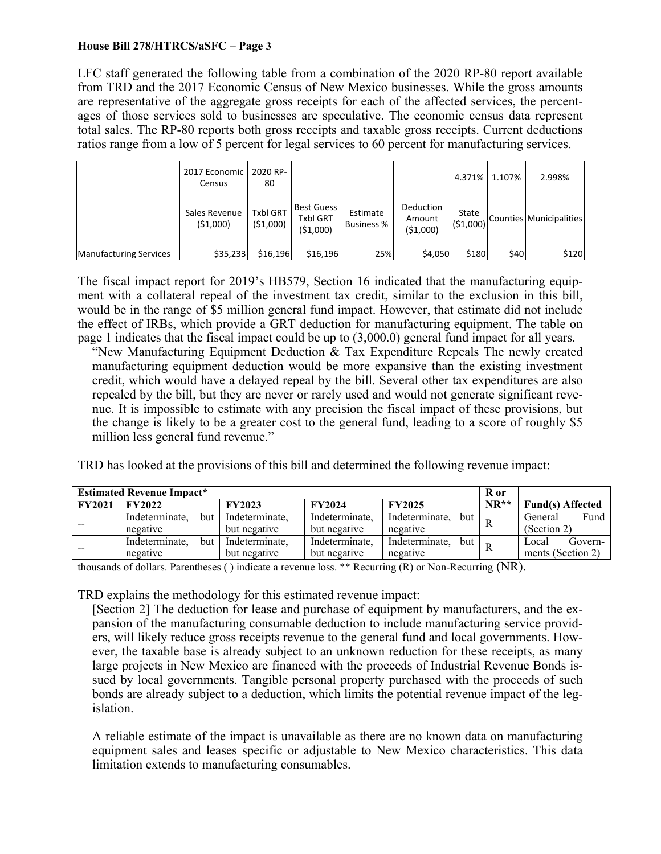LFC staff generated the following table from a combination of the 2020 RP-80 report available from TRD and the 2017 Economic Census of New Mexico businesses. While the gross amounts are representative of the aggregate gross receipts for each of the affected services, the percentages of those services sold to businesses are speculative. The economic census data represent total sales. The RP-80 reports both gross receipts and taxable gross receipts. Current deductions ratios range from a low of 5 percent for legal services to 60 percent for manufacturing services.

|                               | 2017 Economic<br>Census   | 2020 RP-<br>80                |                                                  |                               |                                 | 4.371%            | 1.107% | 2.998%                  |
|-------------------------------|---------------------------|-------------------------------|--------------------------------------------------|-------------------------------|---------------------------------|-------------------|--------|-------------------------|
|                               | Sales Revenue<br>(51,000) | <b>Txbl GRT</b><br>( \$1,000) | <b>Best Guess</b><br><b>Txbl GRT</b><br>(51,000) | Estimate<br><b>Business %</b> | Deduction<br>Amount<br>(51,000) | State<br>(51,000) |        | Counties Municipalities |
| <b>Manufacturing Services</b> | \$35,233                  | \$16,196                      | \$16,196                                         | 25%                           | \$4,050                         | \$180             | \$40   | \$120                   |

The fiscal impact report for 2019's HB579, Section 16 indicated that the manufacturing equipment with a collateral repeal of the investment tax credit, similar to the exclusion in this bill, would be in the range of \$5 million general fund impact. However, that estimate did not include the effect of IRBs, which provide a GRT deduction for manufacturing equipment. The table on page 1 indicates that the fiscal impact could be up to (3,000.0) general fund impact for all years.

"New Manufacturing Equipment Deduction & Tax Expenditure Repeals The newly created manufacturing equipment deduction would be more expansive than the existing investment credit, which would have a delayed repeal by the bill. Several other tax expenditures are also repealed by the bill, but they are never or rarely used and would not generate significant revenue. It is impossible to estimate with any precision the fiscal impact of these provisions, but the change is likely to be a greater cost to the general fund, leading to a score of roughly \$5 million less general fund revenue."

TRD has looked at the provisions of this bill and determined the following revenue impact:

| <b>Estimated Revenue Impact*</b> |                |     |                |                |                       | R or   |                         |
|----------------------------------|----------------|-----|----------------|----------------|-----------------------|--------|-------------------------|
| <b>FY2021</b>                    | <b>FY2022</b>  |     | <b>FY2023</b>  | <b>FY2024</b>  | <b>FY2025</b>         | $NR**$ | <b>Fund(s)</b> Affected |
|                                  | Indeterminate, | but | Indeterminate. | Indeterminate, | Indeterminate,<br>but |        | Fund<br>General         |
|                                  | negative       |     | but negative   | but negative   | negative              |        | (Section 2)             |
|                                  | Indeterminate. | but | Indeterminate. | Indeterminate, | Indeterminate,<br>but |        | Govern-<br>Local        |
| $- -$                            | negative       |     | but negative   | but negative   | negative              |        | ments (Section 2)       |

thousands of dollars. Parentheses ( ) indicate a revenue loss. \*\* Recurring (R) or Non-Recurring (NR).

TRD explains the methodology for this estimated revenue impact:

[Section 2] The deduction for lease and purchase of equipment by manufacturers, and the expansion of the manufacturing consumable deduction to include manufacturing service providers, will likely reduce gross receipts revenue to the general fund and local governments. However, the taxable base is already subject to an unknown reduction for these receipts, as many large projects in New Mexico are financed with the proceeds of Industrial Revenue Bonds issued by local governments. Tangible personal property purchased with the proceeds of such bonds are already subject to a deduction, which limits the potential revenue impact of the legislation.

A reliable estimate of the impact is unavailable as there are no known data on manufacturing equipment sales and leases specific or adjustable to New Mexico characteristics. This data limitation extends to manufacturing consumables.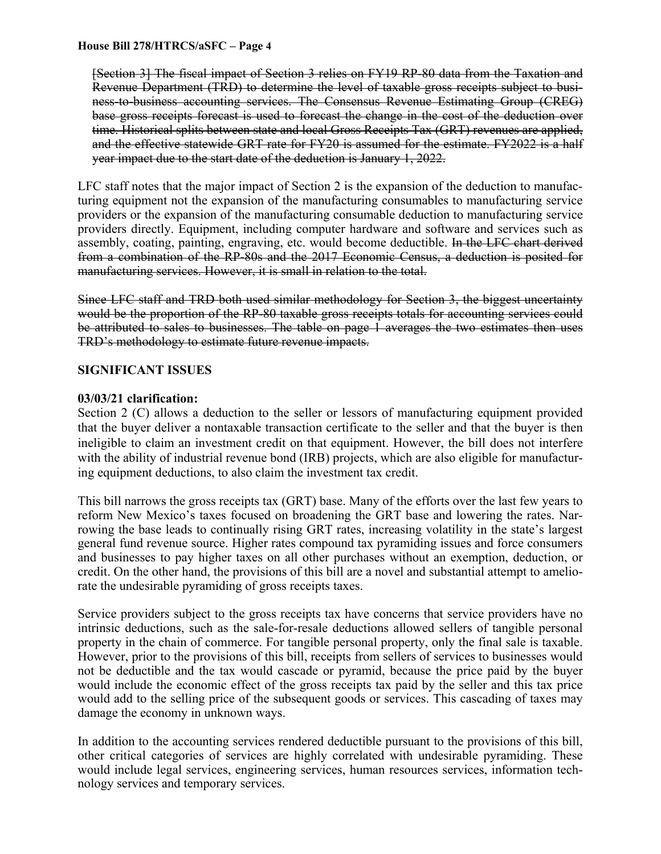[Section 3] The fiscal impact of Section 3 relies on FY19 RP-80 data from the Taxation and Revenue Department (TRD) to determine the level of taxable gross receipts subject to business-to-business accounting services. The Consensus Revenue Estimating Group (CREG) base gross receipts forecast is used to forecast the change in the cost of the deduction over time. Historical splits between state and local Gross Receipts Tax (GRT) revenues are applied, and the effective statewide GRT rate for FY20 is assumed for the estimate. FY2022 is a half year impact due to the start date of the deduction is January 1, 2022.

LFC staff notes that the major impact of Section 2 is the expansion of the deduction to manufacturing equipment not the expansion of the manufacturing consumables to manufacturing service providers or the expansion of the manufacturing consumable deduction to manufacturing service providers directly. Equipment, including computer hardware and software and services such as assembly, coating, painting, engraving, etc. would become deductible. In the LFC chart derived from a combination of the RP-80s and the 2017 Economic Census, a deduction is posited for manufacturing services. However, it is small in relation to the total.

Since LFC staff and TRD both used similar methodology for Section 3, the biggest uncertainty would be the proportion of the RP-80 taxable gross receipts totals for accounting services could be attributed to sales to businesses. The table on page 1 averages the two estimates then uses TRD's methodology to estimate future revenue impacts.

## **SIGNIFICANT ISSUES**

## **03/03/21 clarification:**

Section 2 (C) allows a deduction to the seller or lessors of manufacturing equipment provided that the buyer deliver a nontaxable transaction certificate to the seller and that the buyer is then ineligible to claim an investment credit on that equipment. However, the bill does not interfere with the ability of industrial revenue bond (IRB) projects, which are also eligible for manufacturing equipment deductions, to also claim the investment tax credit.

This bill narrows the gross receipts tax (GRT) base. Many of the efforts over the last few years to reform New Mexico's taxes focused on broadening the GRT base and lowering the rates. Narrowing the base leads to continually rising GRT rates, increasing volatility in the state's largest general fund revenue source. Higher rates compound tax pyramiding issues and force consumers and businesses to pay higher taxes on all other purchases without an exemption, deduction, or credit. On the other hand, the provisions of this bill are a novel and substantial attempt to ameliorate the undesirable pyramiding of gross receipts taxes.

Service providers subject to the gross receipts tax have concerns that service providers have no intrinsic deductions, such as the sale-for-resale deductions allowed sellers of tangible personal property in the chain of commerce. For tangible personal property, only the final sale is taxable. However, prior to the provisions of this bill, receipts from sellers of services to businesses would not be deductible and the tax would cascade or pyramid, because the price paid by the buyer would include the economic effect of the gross receipts tax paid by the seller and this tax price would add to the selling price of the subsequent goods or services. This cascading of taxes may damage the economy in unknown ways.

In addition to the accounting services rendered deductible pursuant to the provisions of this bill, other critical categories of services are highly correlated with undesirable pyramiding. These would include legal services, engineering services, human resources services, information technology services and temporary services.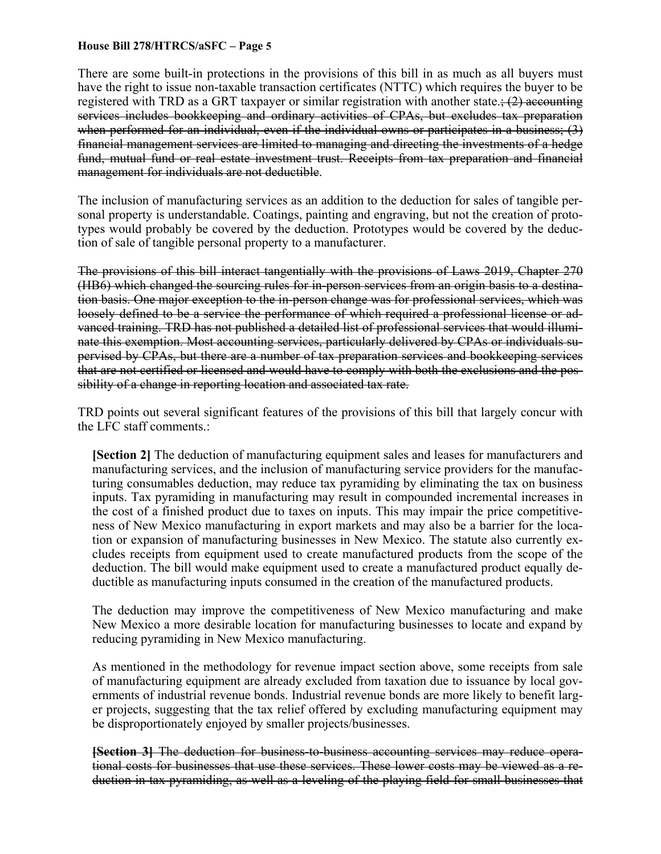There are some built-in protections in the provisions of this bill in as much as all buyers must have the right to issue non-taxable transaction certificates (NTTC) which requires the buyer to be registered with TRD as a GRT taxpayer or similar registration with another state.;  $(2)$  accounting services includes bookkeeping and ordinary activities of CPAs, but excludes tax preparation when performed for an individual, even if the individual owns or participates in a business; (3) financial management services are limited to managing and directing the investments of a hedge fund, mutual fund or real estate investment trust. Receipts from tax preparation and financial management for individuals are not deductible.

The inclusion of manufacturing services as an addition to the deduction for sales of tangible personal property is understandable. Coatings, painting and engraving, but not the creation of prototypes would probably be covered by the deduction. Prototypes would be covered by the deduction of sale of tangible personal property to a manufacturer.

The provisions of this bill interact tangentially with the provisions of Laws 2019, Chapter 270 (HB6) which changed the sourcing rules for in-person services from an origin basis to a destination basis. One major exception to the in-person change was for professional services, which was loosely defined to be a service the performance of which required a professional license or advanced training. TRD has not published a detailed list of professional services that would illuminate this exemption. Most accounting services, particularly delivered by CPAs or individuals supervised by CPAs, but there are a number of tax preparation services and bookkeeping services that are not certified or licensed and would have to comply with both the exclusions and the possibility of a change in reporting location and associated tax rate.

TRD points out several significant features of the provisions of this bill that largely concur with the LFC staff comments.:

**[Section 2]** The deduction of manufacturing equipment sales and leases for manufacturers and manufacturing services, and the inclusion of manufacturing service providers for the manufacturing consumables deduction, may reduce tax pyramiding by eliminating the tax on business inputs. Tax pyramiding in manufacturing may result in compounded incremental increases in the cost of a finished product due to taxes on inputs. This may impair the price competitiveness of New Mexico manufacturing in export markets and may also be a barrier for the location or expansion of manufacturing businesses in New Mexico. The statute also currently excludes receipts from equipment used to create manufactured products from the scope of the deduction. The bill would make equipment used to create a manufactured product equally deductible as manufacturing inputs consumed in the creation of the manufactured products.

The deduction may improve the competitiveness of New Mexico manufacturing and make New Mexico a more desirable location for manufacturing businesses to locate and expand by reducing pyramiding in New Mexico manufacturing.

As mentioned in the methodology for revenue impact section above, some receipts from sale of manufacturing equipment are already excluded from taxation due to issuance by local governments of industrial revenue bonds. Industrial revenue bonds are more likely to benefit larger projects, suggesting that the tax relief offered by excluding manufacturing equipment may be disproportionately enjoyed by smaller projects/businesses.

**[Section 3]** The deduction for business-to-business accounting services may reduce operational costs for businesses that use these services. These lower costs may be viewed as a reduction in tax pyramiding, as well as a leveling of the playing field for small businesses that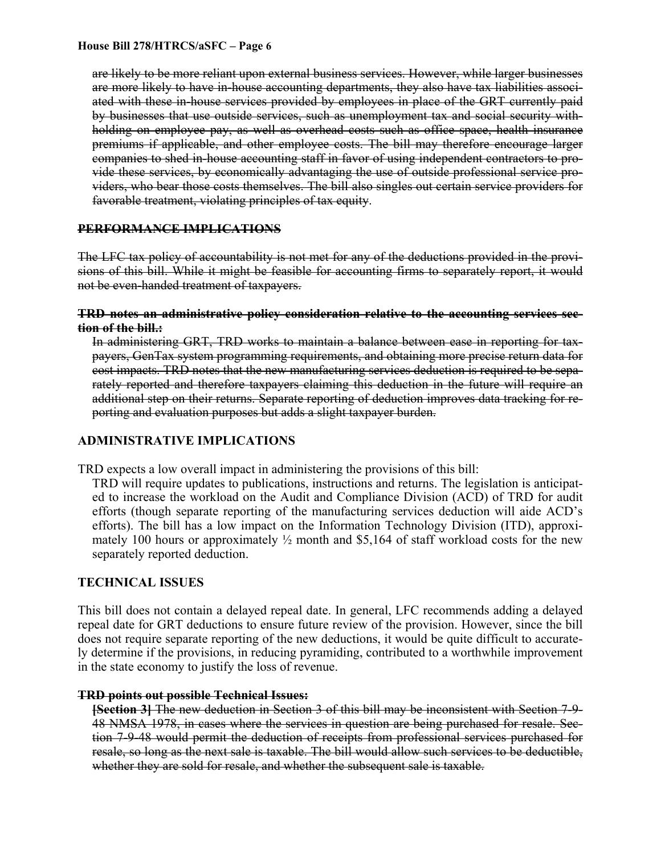are likely to be more reliant upon external business services. However, while larger businesses are more likely to have in-house accounting departments, they also have tax liabilities associated with these in-house services provided by employees in place of the GRT currently paid by businesses that use outside services, such as unemployment tax and social security withholding on employee pay, as well as overhead costs such as office space, health insurance premiums if applicable, and other employee costs. The bill may therefore encourage larger companies to shed in-house accounting staff in favor of using independent contractors to provide these services, by economically advantaging the use of outside professional service providers, who bear those costs themselves. The bill also singles out certain service providers for favorable treatment, violating principles of tax equity.

## **PERFORMANCE IMPLICATIONS**

The LFC tax policy of accountability is not met for any of the deductions provided in the provisions of this bill. While it might be feasible for accounting firms to separately report, it would not be even-handed treatment of taxpayers.

### **TRD notes an administrative policy consideration relative to the accounting services section of the bill.:**

In administering GRT, TRD works to maintain a balance between ease in reporting for taxpayers, GenTax system programming requirements, and obtaining more precise return data for cost impacts. TRD notes that the new manufacturing services deduction is required to be separately reported and therefore taxpayers claiming this deduction in the future will require an additional step on their returns. Separate reporting of deduction improves data tracking for reporting and evaluation purposes but adds a slight taxpayer burden.

# **ADMINISTRATIVE IMPLICATIONS**

TRD expects a low overall impact in administering the provisions of this bill:

TRD will require updates to publications, instructions and returns. The legislation is anticipated to increase the workload on the Audit and Compliance Division (ACD) of TRD for audit efforts (though separate reporting of the manufacturing services deduction will aide ACD's efforts). The bill has a low impact on the Information Technology Division (ITD), approximately 100 hours or approximately  $\frac{1}{2}$  month and \$5,164 of staff workload costs for the new separately reported deduction.

# **TECHNICAL ISSUES**

This bill does not contain a delayed repeal date. In general, LFC recommends adding a delayed repeal date for GRT deductions to ensure future review of the provision. However, since the bill does not require separate reporting of the new deductions, it would be quite difficult to accurately determine if the provisions, in reducing pyramiding, contributed to a worthwhile improvement in the state economy to justify the loss of revenue.

### **TRD points out possible Technical Issues:**

**[Section 3]** The new deduction in Section 3 of this bill may be inconsistent with Section 7-9- 48 NMSA 1978, in cases where the services in question are being purchased for resale. Section 7-9-48 would permit the deduction of receipts from professional services purchased for resale, so long as the next sale is taxable. The bill would allow such services to be deductible, whether they are sold for resale, and whether the subsequent sale is taxable.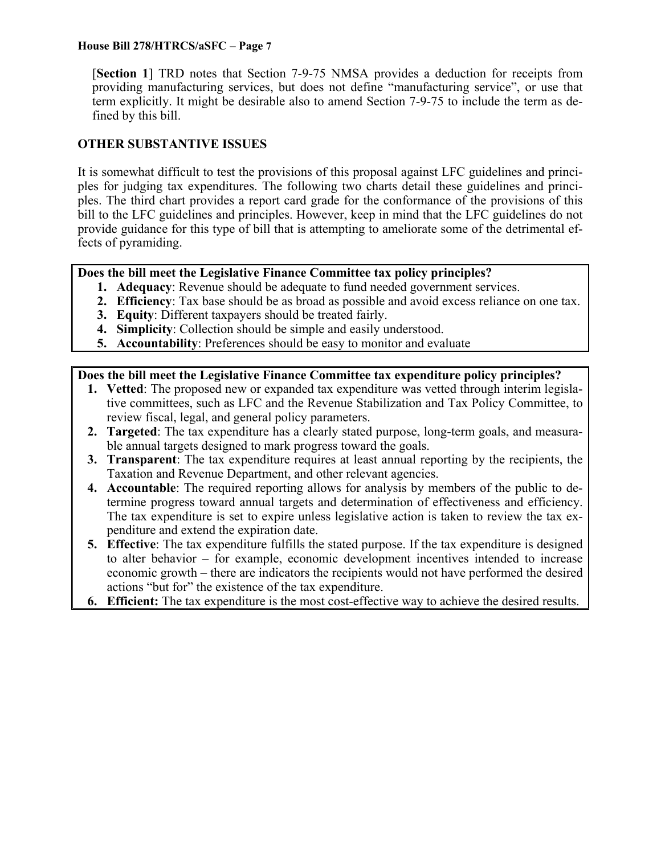[**Section 1**] TRD notes that Section 7-9-75 NMSA provides a deduction for receipts from providing manufacturing services, but does not define "manufacturing service", or use that term explicitly. It might be desirable also to amend Section 7-9-75 to include the term as defined by this bill.

## **OTHER SUBSTANTIVE ISSUES**

It is somewhat difficult to test the provisions of this proposal against LFC guidelines and principles for judging tax expenditures. The following two charts detail these guidelines and principles. The third chart provides a report card grade for the conformance of the provisions of this bill to the LFC guidelines and principles. However, keep in mind that the LFC guidelines do not provide guidance for this type of bill that is attempting to ameliorate some of the detrimental effects of pyramiding.

### **Does the bill meet the Legislative Finance Committee tax policy principles?**

- **1. Adequacy**: Revenue should be adequate to fund needed government services.
- **2. Efficiency**: Tax base should be as broad as possible and avoid excess reliance on one tax.
- **3. Equity**: Different taxpayers should be treated fairly.
- **4. Simplicity**: Collection should be simple and easily understood.
- **5. Accountability**: Preferences should be easy to monitor and evaluate

### **Does the bill meet the Legislative Finance Committee tax expenditure policy principles?**

- **1. Vetted**: The proposed new or expanded tax expenditure was vetted through interim legislative committees, such as LFC and the Revenue Stabilization and Tax Policy Committee, to review fiscal, legal, and general policy parameters.
- **2. Targeted**: The tax expenditure has a clearly stated purpose, long-term goals, and measurable annual targets designed to mark progress toward the goals.
- **3. Transparent**: The tax expenditure requires at least annual reporting by the recipients, the Taxation and Revenue Department, and other relevant agencies.
- **4. Accountable**: The required reporting allows for analysis by members of the public to determine progress toward annual targets and determination of effectiveness and efficiency. The tax expenditure is set to expire unless legislative action is taken to review the tax expenditure and extend the expiration date.
- **5. Effective**: The tax expenditure fulfills the stated purpose. If the tax expenditure is designed to alter behavior – for example, economic development incentives intended to increase economic growth – there are indicators the recipients would not have performed the desired actions "but for" the existence of the tax expenditure.
- **6. Efficient:** The tax expenditure is the most cost-effective way to achieve the desired results.